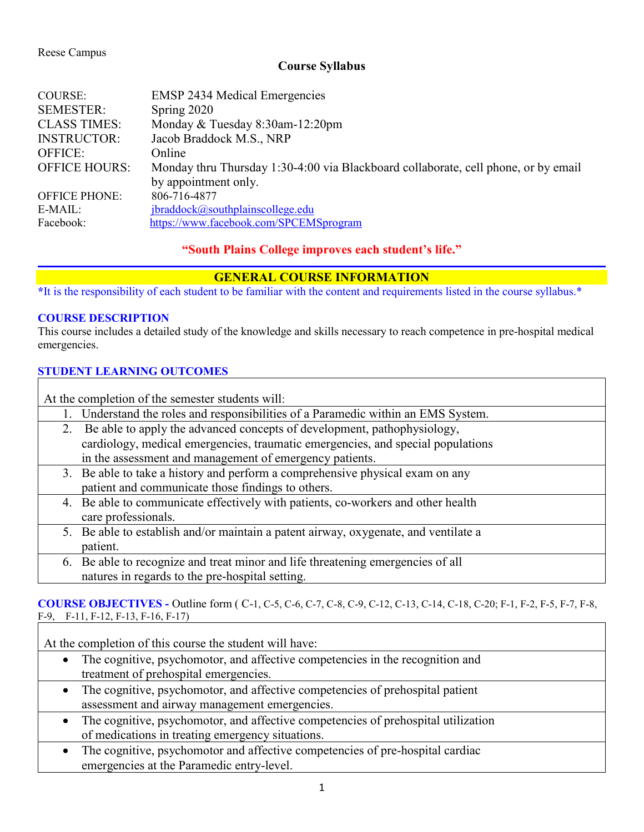### Reese Campus

## **Course Syllabus**

| <b>COURSE:</b>       | <b>EMSP 2434 Medical Emergencies</b>                                               |  |
|----------------------|------------------------------------------------------------------------------------|--|
| <b>SEMESTER:</b>     | Spring 2020                                                                        |  |
| <b>CLASS TIMES:</b>  | Monday & Tuesday 8:30am-12:20pm                                                    |  |
| <b>INSTRUCTOR:</b>   | Jacob Braddock M.S., NRP                                                           |  |
| <b>OFFICE:</b>       | Online                                                                             |  |
| <b>OFFICE HOURS:</b> | Monday thru Thursday 1:30-4:00 via Blackboard collaborate, cell phone, or by email |  |
|                      | by appointment only.                                                               |  |
| <b>OFFICE PHONE:</b> | 806-716-4877                                                                       |  |
| $E\text{-}MAIL:$     | jbraddock@southplainscollege.edu                                                   |  |
| Facebook:            | https://www.facebook.com/SPCEMSprogram                                             |  |
|                      |                                                                                    |  |

## **"South Plains College improves each student's life."**

## **GENERAL COURSE INFORMATION**

**\***It is the responsibility of each student to be familiar with the content and requirements listed in the course syllabus.\*

### **COURSE DESCRIPTION**

This course includes a detailed study of the knowledge and skills necessary to reach competence in pre-hospital medical emergencies.

### **STUDENT LEARNING OUTCOMES**

At the completion of the semester students will:

1. Understand the roles and responsibilities of a Paramedic within an EMS System.

- 2. Be able to apply the advanced concepts of development, pathophysiology, cardiology, medical emergencies, traumatic emergencies, and special populations in the assessment and management of emergency patients.
- 3. Be able to take a history and perform a comprehensive physical exam on any patient and communicate those findings to others.
- 4. Be able to communicate effectively with patients, co-workers and other health care professionals.
- 5. Be able to establish and/or maintain a patent airway, oxygenate, and ventilate a patient.
	- 6. Be able to recognize and treat minor and life threatening emergencies of all natures in regards to the pre-hospital setting.

### **COURSE OBJECTIVES -** Outline form ( C-1, C-5, C-6, C-7, C-8, C-9, C-12, C-13, C-14, C-18, C-20; F-1, F-2, F-5, F-7, F-8, F-9, F-11, F-12, F-13, F-16, F-17)

At the completion of this course the student will have:

- The cognitive, psychomotor, and affective competencies in the recognition and treatment of prehospital emergencies.
- The cognitive, psychomotor, and affective competencies of prehospital patient assessment and airway management emergencies.
- The cognitive, psychomotor, and affective competencies of prehospital utilization of medications in treating emergency situations.
- The cognitive, psychomotor and affective competencies of pre-hospital cardiac emergencies at the Paramedic entry-level.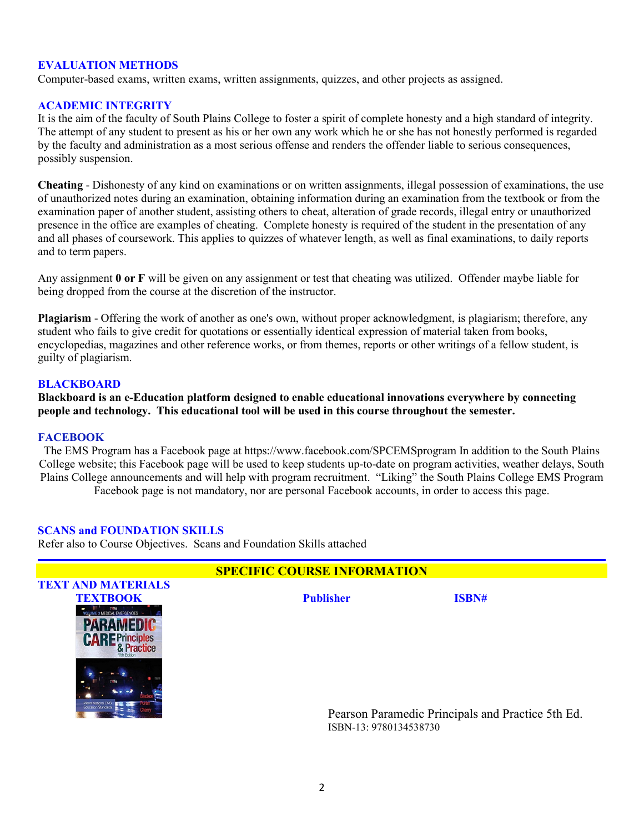### **EVALUATION METHODS**

Computer-based exams, written exams, written assignments, quizzes, and other projects as assigned.

#### **ACADEMIC INTEGRITY**

It is the aim of the faculty of South Plains College to foster a spirit of complete honesty and a high standard of integrity. The attempt of any student to present as his or her own any work which he or she has not honestly performed is regarded by the faculty and administration as a most serious offense and renders the offender liable to serious consequences, possibly suspension.

**Cheating** - Dishonesty of any kind on examinations or on written assignments, illegal possession of examinations, the use of unauthorized notes during an examination, obtaining information during an examination from the textbook or from the examination paper of another student, assisting others to cheat, alteration of grade records, illegal entry or unauthorized presence in the office are examples of cheating. Complete honesty is required of the student in the presentation of any and all phases of coursework. This applies to quizzes of whatever length, as well as final examinations, to daily reports and to term papers.

Any assignment **0 or F** will be given on any assignment or test that cheating was utilized. Offender maybe liable for being dropped from the course at the discretion of the instructor.

**Plagiarism** - Offering the work of another as one's own, without proper acknowledgment, is plagiarism; therefore, any student who fails to give credit for quotations or essentially identical expression of material taken from books, encyclopedias, magazines and other reference works, or from themes, reports or other writings of a fellow student, is guilty of plagiarism.

#### **BLACKBOARD**

**Blackboard is an e-Education platform designed to enable educational innovations everywhere by connecting people and technology. This educational tool will be used in this course throughout the semester.** 

#### **FACEBOOK**

The EMS Program has a Facebook page at https://www.facebook.com/SPCEMSprogram In addition to the South Plains College website; this Facebook page will be used to keep students up-to-date on program activities, weather delays, South Plains College announcements and will help with program recruitment. "Liking" the South Plains College EMS Program Facebook page is not mandatory, nor are personal Facebook accounts, in order to access this page.

#### **SCANS and FOUNDATION SKILLS**

Refer also to Course Objectives. Scans and Foundation Skills attached

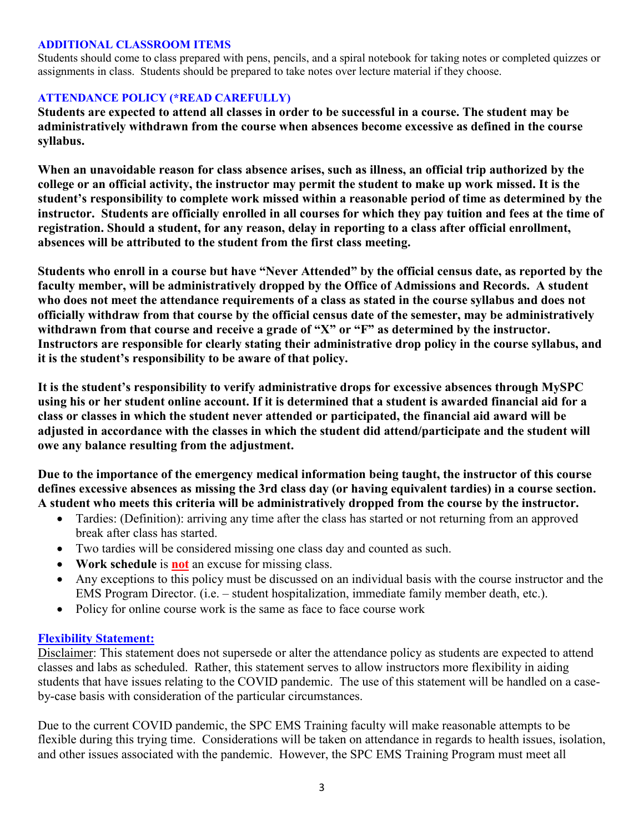### **ADDITIONAL CLASSROOM ITEMS**

Students should come to class prepared with pens, pencils, and a spiral notebook for taking notes or completed quizzes or assignments in class. Students should be prepared to take notes over lecture material if they choose.

## **ATTENDANCE POLICY (\*READ CAREFULLY)**

**Students are expected to attend all classes in order to be successful in a course. The student may be administratively withdrawn from the course when absences become excessive as defined in the course syllabus.** 

**When an unavoidable reason for class absence arises, such as illness, an official trip authorized by the college or an official activity, the instructor may permit the student to make up work missed. It is the student's responsibility to complete work missed within a reasonable period of time as determined by the instructor. Students are officially enrolled in all courses for which they pay tuition and fees at the time of registration. Should a student, for any reason, delay in reporting to a class after official enrollment, absences will be attributed to the student from the first class meeting.**

**Students who enroll in a course but have "Never Attended" by the official census date, as reported by the faculty member, will be administratively dropped by the Office of Admissions and Records. A student who does not meet the attendance requirements of a class as stated in the course syllabus and does not officially withdraw from that course by the official census date of the semester, may be administratively withdrawn from that course and receive a grade of "X" or "F" as determined by the instructor. Instructors are responsible for clearly stating their administrative drop policy in the course syllabus, and it is the student's responsibility to be aware of that policy.** 

**It is the student's responsibility to verify administrative drops for excessive absences through MySPC using his or her student online account. If it is determined that a student is awarded financial aid for a class or classes in which the student never attended or participated, the financial aid award will be adjusted in accordance with the classes in which the student did attend/participate and the student will owe any balance resulting from the adjustment.**

**Due to the importance of the emergency medical information being taught, the instructor of this course defines excessive absences as missing the 3rd class day (or having equivalent tardies) in a course section. A student who meets this criteria will be administratively dropped from the course by the instructor.** 

- Tardies: (Definition): arriving any time after the class has started or not returning from an approved break after class has started.
- Two tardies will be considered missing one class day and counted as such.
- **Work schedule** is **not** an excuse for missing class.
- Any exceptions to this policy must be discussed on an individual basis with the course instructor and the EMS Program Director. (i.e. – student hospitalization, immediate family member death, etc.).
- Policy for online course work is the same as face to face course work

## **Flexibility Statement:**

Disclaimer: This statement does not supersede or alter the attendance policy as students are expected to attend classes and labs as scheduled. Rather, this statement serves to allow instructors more flexibility in aiding students that have issues relating to the COVID pandemic. The use of this statement will be handled on a caseby-case basis with consideration of the particular circumstances.

Due to the current COVID pandemic, the SPC EMS Training faculty will make reasonable attempts to be flexible during this trying time. Considerations will be taken on attendance in regards to health issues, isolation, and other issues associated with the pandemic. However, the SPC EMS Training Program must meet all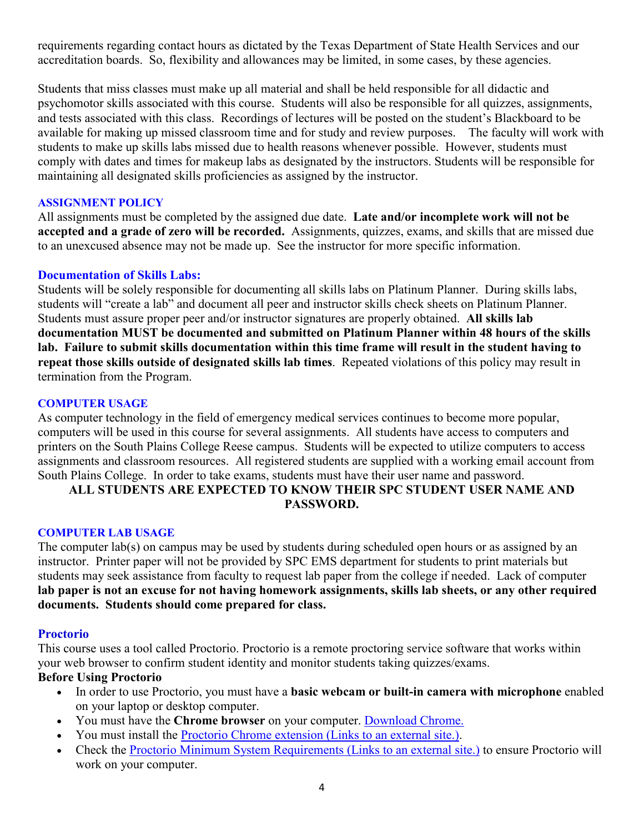requirements regarding contact hours as dictated by the Texas Department of State Health Services and our accreditation boards. So, flexibility and allowances may be limited, in some cases, by these agencies.

Students that miss classes must make up all material and shall be held responsible for all didactic and psychomotor skills associated with this course. Students will also be responsible for all quizzes, assignments, and tests associated with this class. Recordings of lectures will be posted on the student's Blackboard to be available for making up missed classroom time and for study and review purposes. The faculty will work with students to make up skills labs missed due to health reasons whenever possible. However, students must comply with dates and times for makeup labs as designated by the instructors. Students will be responsible for maintaining all designated skills proficiencies as assigned by the instructor.

### **ASSIGNMENT POLICY**

All assignments must be completed by the assigned due date. **Late and/or incomplete work will not be accepted and a grade of zero will be recorded.** Assignments, quizzes, exams, and skills that are missed due to an unexcused absence may not be made up. See the instructor for more specific information.

## **Documentation of Skills Labs:**

Students will be solely responsible for documenting all skills labs on Platinum Planner. During skills labs, students will "create a lab" and document all peer and instructor skills check sheets on Platinum Planner. Students must assure proper peer and/or instructor signatures are properly obtained. **All skills lab documentation MUST be documented and submitted on Platinum Planner within 48 hours of the skills lab. Failure to submit skills documentation within this time frame will result in the student having to repeat those skills outside of designated skills lab times**. Repeated violations of this policy may result in termination from the Program.

### **COMPUTER USAGE**

As computer technology in the field of emergency medical services continues to become more popular, computers will be used in this course for several assignments. All students have access to computers and printers on the South Plains College Reese campus. Students will be expected to utilize computers to access assignments and classroom resources. All registered students are supplied with a working email account from South Plains College. In order to take exams, students must have their user name and password.

# **ALL STUDENTS ARE EXPECTED TO KNOW THEIR SPC STUDENT USER NAME AND PASSWORD.**

### **COMPUTER LAB USAGE**

The computer lab(s) on campus may be used by students during scheduled open hours or as assigned by an instructor. Printer paper will not be provided by SPC EMS department for students to print materials but students may seek assistance from faculty to request lab paper from the college if needed. Lack of computer **lab paper is not an excuse for not having homework assignments, skills lab sheets, or any other required documents. Students should come prepared for class.**

### **Proctorio**

This course uses a tool called Proctorio. Proctorio is a remote proctoring service software that works within your web browser to confirm student identity and monitor students taking quizzes/exams.

### **Before Using Proctorio**

- In order to use Proctorio, you must have a **basic webcam or built-in camera with microphone** enabled on your laptop or desktop computer.
- You must have the **Chrome browser** on your computer. [Download Chrome.](https://www.google.com/chrome/browser/)
- You must install the [Proctorio Chrome extension](https://getproctorio.com/) (Links to an external site.).
- Check the [Proctorio Minimum System Requirements](https://proctorio.com/system-requirements) (Links to an external site.) to ensure Proctorio will work on your computer.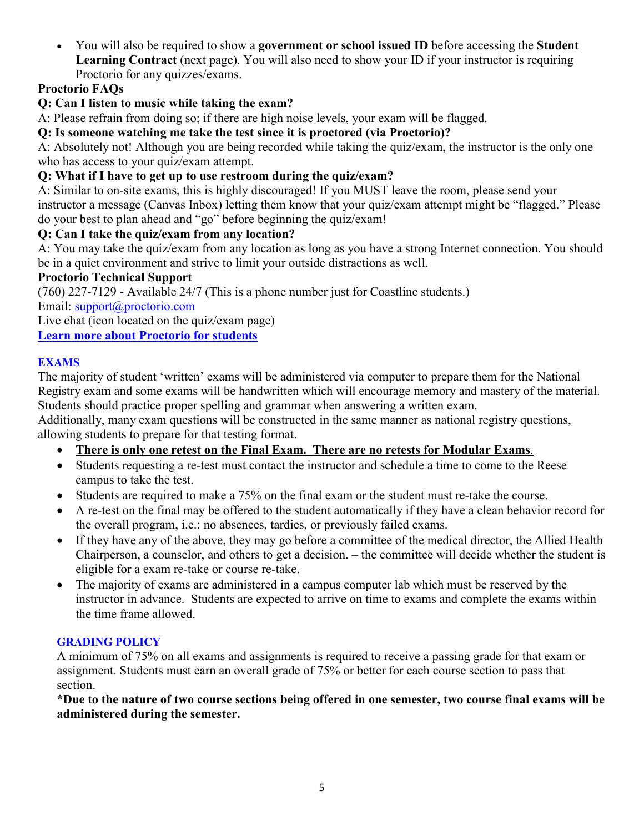• You will also be required to show a **government or school issued ID** before accessing the **Student Learning Contract** (next page). You will also need to show your ID if your instructor is requiring Proctorio for any quizzes/exams.

# **Proctorio FAQs**

# **Q: Can I listen to music while taking the exam?**

A: Please refrain from doing so; if there are high noise levels, your exam will be flagged.

# **Q: Is someone watching me take the test since it is proctored (via Proctorio)?**

A: Absolutely not! Although you are being recorded while taking the quiz/exam, the instructor is the only one who has access to your quiz/exam attempt.

# **Q: What if I have to get up to use restroom during the quiz/exam?**

A: Similar to on-site exams, this is highly discouraged! If you MUST leave the room, please send your instructor a message (Canvas Inbox) letting them know that your quiz/exam attempt might be "flagged." Please do your best to plan ahead and "go" before beginning the quiz/exam!

# **Q: Can I take the quiz/exam from any location?**

A: You may take the quiz/exam from any location as long as you have a strong Internet connection. You should be in a quiet environment and strive to limit your outside distractions as well.

# **Proctorio Technical Support**

(760) 227-7129 - Available 24/7 (This is a phone number just for Coastline students.) Email: [support@proctorio.com](mailto:support@proctorio.com)

Live chat (icon located on the quiz/exam page)

**Learn more about [Proctorio for students](https://proctorio.com/students)**

## **EXAMS**

The majority of student 'written' exams will be administered via computer to prepare them for the National Registry exam and some exams will be handwritten which will encourage memory and mastery of the material. Students should practice proper spelling and grammar when answering a written exam.

Additionally, many exam questions will be constructed in the same manner as national registry questions, allowing students to prepare for that testing format.

- **There is only one retest on the Final Exam. There are no retests for Modular Exams**.
- Students requesting a re-test must contact the instructor and schedule a time to come to the Reese campus to take the test.
- Students are required to make a 75% on the final exam or the student must re-take the course.
- A re-test on the final may be offered to the student automatically if they have a clean behavior record for the overall program, i.e.: no absences, tardies, or previously failed exams.
- If they have any of the above, they may go before a committee of the medical director, the Allied Health Chairperson, a counselor, and others to get a decision. – the committee will decide whether the student is eligible for a exam re-take or course re-take.
- The majority of exams are administered in a campus computer lab which must be reserved by the instructor in advance. Students are expected to arrive on time to exams and complete the exams within the time frame allowed.

# **GRADING POLICY**

A minimum of 75% on all exams and assignments is required to receive a passing grade for that exam or assignment. Students must earn an overall grade of 75% or better for each course section to pass that section.

**\*Due to the nature of two course sections being offered in one semester, two course final exams will be administered during the semester.**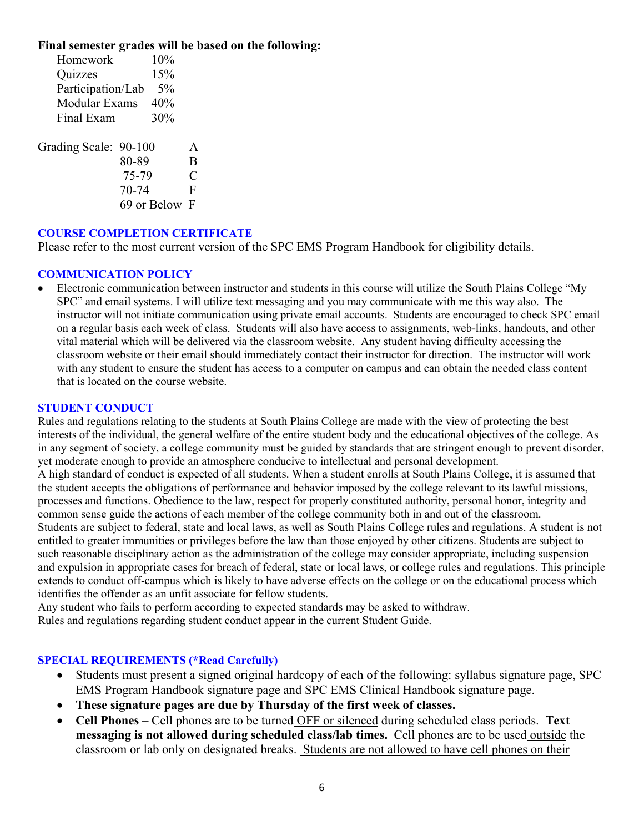### **Final semester grades will be based on the following:**

| Homework              | 10%                                      |                              |
|-----------------------|------------------------------------------|------------------------------|
| Quizzes               | 15%                                      |                              |
| Participation/Lab     |                                          |                              |
| Modular Exams         |                                          |                              |
| Final Exam            |                                          |                              |
| Grading Scale: 90-100 | 80-89<br>75-79<br>70-74<br>69 or Below F | A<br>B<br>$\mathcal{C}$<br>F |

### **COURSE COMPLETION CERTIFICATE**

Please refer to the most current version of the SPC EMS Program Handbook for eligibility details.

### **COMMUNICATION POLICY**

• Electronic communication between instructor and students in this course will utilize the South Plains College "My SPC" and email systems. I will utilize text messaging and you may communicate with me this way also. The instructor will not initiate communication using private email accounts. Students are encouraged to check SPC email on a regular basis each week of class. Students will also have access to assignments, web-links, handouts, and other vital material which will be delivered via the classroom website. Any student having difficulty accessing the classroom website or their email should immediately contact their instructor for direction. The instructor will work with any student to ensure the student has access to a computer on campus and can obtain the needed class content that is located on the course website.

### **STUDENT CONDUCT**

Rules and regulations relating to the students at South Plains College are made with the view of protecting the best interests of the individual, the general welfare of the entire student body and the educational objectives of the college. As in any segment of society, a college community must be guided by standards that are stringent enough to prevent disorder, yet moderate enough to provide an atmosphere conducive to intellectual and personal development. A high standard of conduct is expected of all students. When a student enrolls at South Plains College, it is assumed that the student accepts the obligations of performance and behavior imposed by the college relevant to its lawful missions, processes and functions. Obedience to the law, respect for properly constituted authority, personal honor, integrity and common sense guide the actions of each member of the college community both in and out of the classroom. Students are subject to federal, state and local laws, as well as South Plains College rules and regulations. A student is not entitled to greater immunities or privileges before the law than those enjoyed by other citizens. Students are subject to such reasonable disciplinary action as the administration of the college may consider appropriate, including suspension and expulsion in appropriate cases for breach of federal, state or local laws, or college rules and regulations. This principle extends to conduct off-campus which is likely to have adverse effects on the college or on the educational process which identifies the offender as an unfit associate for fellow students.

Any student who fails to perform according to expected standards may be asked to withdraw. Rules and regulations regarding student conduct appear in the current Student Guide.

### **SPECIAL REQUIREMENTS (\*Read Carefully)**

- Students must present a signed original hardcopy of each of the following: syllabus signature page, SPC EMS Program Handbook signature page and SPC EMS Clinical Handbook signature page.
- **These signature pages are due by Thursday of the first week of classes.**
- **Cell Phones** Cell phones are to be turned OFF or silenced during scheduled class periods. **Text messaging is not allowed during scheduled class/lab times.** Cell phones are to be used outside the classroom or lab only on designated breaks. Students are not allowed to have cell phones on their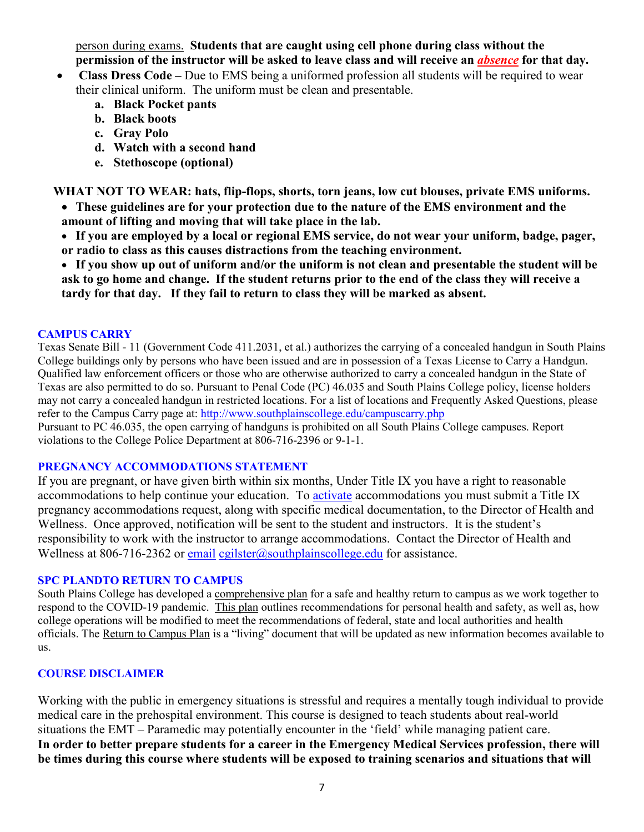person during exams. **Students that are caught using cell phone during class without the permission of the instructor will be asked to leave class and will receive an** *absence* **for that day.**

- **Class Dress Code –** Due to EMS being a uniformed profession all students will be required to wear their clinical uniform. The uniform must be clean and presentable.
	- **a. Black Pocket pants**
	- **b. Black boots**
	- **c. Gray Polo**
	- **d. Watch with a second hand**
	- **e. Stethoscope (optional)**

**WHAT NOT TO WEAR: hats, flip-flops, shorts, torn jeans, low cut blouses, private EMS uniforms.**

- **These guidelines are for your protection due to the nature of the EMS environment and the amount of lifting and moving that will take place in the lab.**
- **If you are employed by a local or regional EMS service, do not wear your uniform, badge, pager, or radio to class as this causes distractions from the teaching environment.**

• **If you show up out of uniform and/or the uniform is not clean and presentable the student will be ask to go home and change. If the student returns prior to the end of the class they will receive a tardy for that day. If they fail to return to class they will be marked as absent.**

### **CAMPUS CARRY**

Texas Senate Bill - 11 (Government Code 411.2031, et al.) authorizes the carrying of a concealed handgun in South Plains College buildings only by persons who have been issued and are in possession of a Texas License to Carry a Handgun. Qualified law enforcement officers or those who are otherwise authorized to carry a concealed handgun in the State of Texas are also permitted to do so. Pursuant to Penal Code (PC) 46.035 and South Plains College policy, license holders may not carry a concealed handgun in restricted locations. For a list of locations and Frequently Asked Questions, please refer to the Campus Carry page at: <http://www.southplainscollege.edu/campuscarry.php>

Pursuant to PC 46.035, the open carrying of handguns is prohibited on all South Plains College campuses. Report violations to the College Police Department at 806-716-2396 or 9-1-1.

### **PREGNANCY ACCOMMODATIONS STATEMENT**

If you are pregnant, or have given birth within six months, Under Title IX you have a right to reasonable accommodations to help continue your education. To [activate](http://www.southplainscollege.edu/employees/manualshandbooks/facultyhandbook/sec4.php) accommodations you must submit a Title IX pregnancy accommodations request, along with specific medical documentation, to the Director of Health and Wellness. Once approved, notification will be sent to the student and instructors. It is the student's responsibility to work with the instructor to arrange accommodations. Contact the Director of Health and Wellness at 806-716-2362 or [email](http://www.southplainscollege.edu/employees/manualshandbooks/facultyhandbook/sec4.php) [cgilster@southplainscollege.edu](mailto:cgilster@southplainscollege.edu) for assistance.

### **SPC PLANDTO RETURN TO CAMPUS**

South Plains College has developed a [comprehensive plan](http://www.southplainscollege.edu/emergency/SPCReturnToCampusPlans.pdf) for a safe and healthy return to campus as we work together to respond to the COVID-19 pandemic. [This plan](http://www.southplainscollege.edu/emergency/SPCReturnToCampusPlans.pdf) outlines recommendations for personal health and safety, as well as, how college operations will be modified to meet the recommendations of federal, state and local authorities and health officials. The [Return to Campus Plan](http://www.southplainscollege.edu/emergency/SPCReturnToCampusPlans.pdf) is a "living" document that will be updated as new information becomes available to us.

### **COURSE DISCLAIMER**

Working with the public in emergency situations is stressful and requires a mentally tough individual to provide medical care in the prehospital environment. This course is designed to teach students about real-world situations the EMT – Paramedic may potentially encounter in the 'field' while managing patient care. **In order to better prepare students for a career in the Emergency Medical Services profession, there will be times during this course where students will be exposed to training scenarios and situations that will**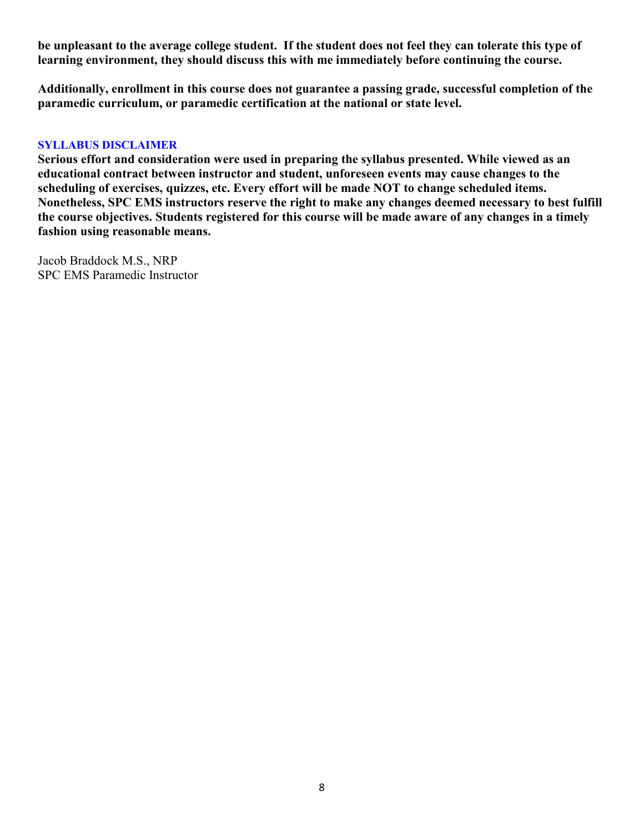**be unpleasant to the average college student. If the student does not feel they can tolerate this type of learning environment, they should discuss this with me immediately before continuing the course.**

**Additionally, enrollment in this course does not guarantee a passing grade, successful completion of the paramedic curriculum, or paramedic certification at the national or state level.** 

### **SYLLABUS DISCLAIMER**

**Serious effort and consideration were used in preparing the syllabus presented. While viewed as an educational contract between instructor and student, unforeseen events may cause changes to the scheduling of exercises, quizzes, etc. Every effort will be made NOT to change scheduled items. Nonetheless, SPC EMS instructors reserve the right to make any changes deemed necessary to best fulfill the course objectives. Students registered for this course will be made aware of any changes in a timely fashion using reasonable means.** 

Jacob Braddock M.S., NRP SPC EMS Paramedic Instructor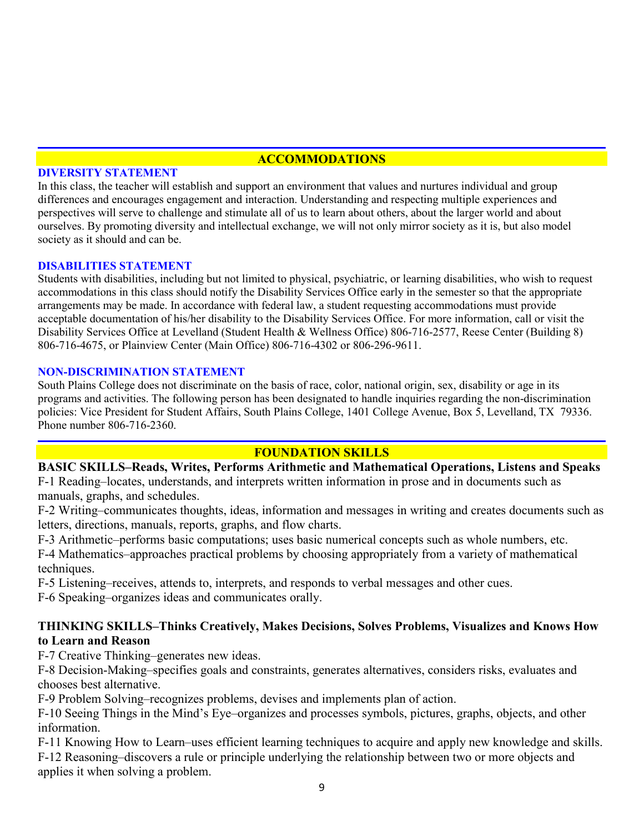## **ACCOMMODATIONS**

### **DIVERSITY STATEMENT**

In this class, the teacher will establish and support an environment that values and nurtures individual and group differences and encourages engagement and interaction. Understanding and respecting multiple experiences and perspectives will serve to challenge and stimulate all of us to learn about others, about the larger world and about ourselves. By promoting diversity and intellectual exchange, we will not only mirror society as it is, but also model society as it should and can be.

### **DISABILITIES STATEMENT**

Students with disabilities, including but not limited to physical, psychiatric, or learning disabilities, who wish to request accommodations in this class should notify the Disability Services Office early in the semester so that the appropriate arrangements may be made. In accordance with federal law, a student requesting accommodations must provide acceptable documentation of his/her disability to the Disability Services Office. For more information, call or visit the Disability Services Office at Levelland (Student Health & Wellness Office) 806-716-2577, Reese Center (Building 8) 806-716-4675, or Plainview Center (Main Office) 806-716-4302 or 806-296-9611.

### **NON-DISCRIMINATION STATEMENT**

South Plains College does not discriminate on the basis of race, color, national origin, sex, disability or age in its programs and activities. The following person has been designated to handle inquiries regarding the non-discrimination policies: Vice President for Student Affairs, South Plains College, 1401 College Avenue, Box 5, Levelland, TX 79336. Phone number 806-716-2360.

### **FOUNDATION SKILLS**

**BASIC SKILLS–Reads, Writes, Performs Arithmetic and Mathematical Operations, Listens and Speaks** F-1 Reading–locates, understands, and interprets written information in prose and in documents such as manuals, graphs, and schedules.

F-2 Writing–communicates thoughts, ideas, information and messages in writing and creates documents such as letters, directions, manuals, reports, graphs, and flow charts.

F-3 Arithmetic–performs basic computations; uses basic numerical concepts such as whole numbers, etc.

F-4 Mathematics–approaches practical problems by choosing appropriately from a variety of mathematical techniques.

F-5 Listening–receives, attends to, interprets, and responds to verbal messages and other cues.

F-6 Speaking–organizes ideas and communicates orally.

## **THINKING SKILLS–Thinks Creatively, Makes Decisions, Solves Problems, Visualizes and Knows How to Learn and Reason**

F-7 Creative Thinking–generates new ideas.

F-8 Decision-Making–specifies goals and constraints, generates alternatives, considers risks, evaluates and chooses best alternative.

F-9 Problem Solving–recognizes problems, devises and implements plan of action.

F-10 Seeing Things in the Mind's Eye–organizes and processes symbols, pictures, graphs, objects, and other information.

F-11 Knowing How to Learn–uses efficient learning techniques to acquire and apply new knowledge and skills. F-12 Reasoning–discovers a rule or principle underlying the relationship between two or more objects and applies it when solving a problem.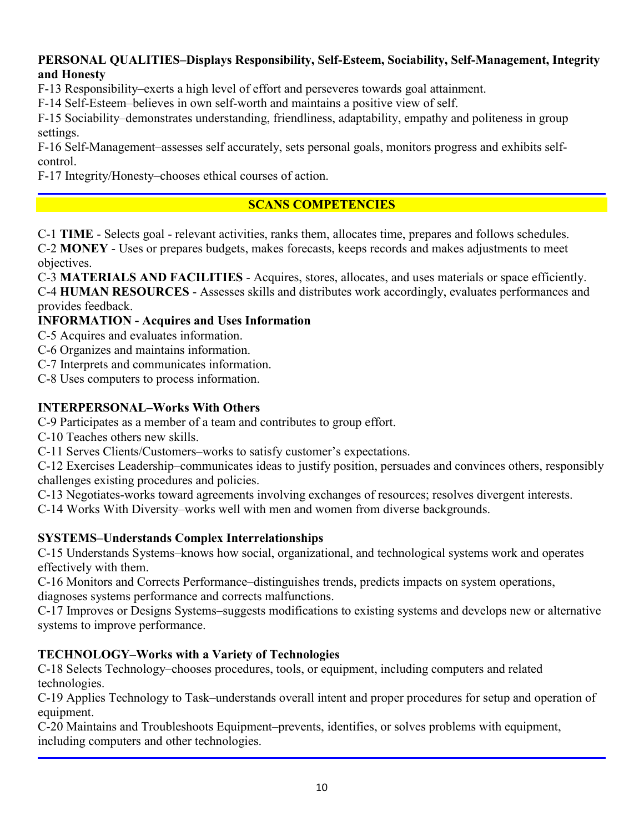## **PERSONAL QUALITIES–Displays Responsibility, Self-Esteem, Sociability, Self-Management, Integrity and Honesty**

F-13 Responsibility–exerts a high level of effort and perseveres towards goal attainment.

F-14 Self-Esteem–believes in own self-worth and maintains a positive view of self.

F-15 Sociability–demonstrates understanding, friendliness, adaptability, empathy and politeness in group settings.

F-16 Self-Management–assesses self accurately, sets personal goals, monitors progress and exhibits selfcontrol.

F-17 Integrity/Honesty–chooses ethical courses of action.

# **SCANS COMPETENCIES**

C-1 **TIME** - Selects goal - relevant activities, ranks them, allocates time, prepares and follows schedules. C-2 **MONEY** - Uses or prepares budgets, makes forecasts, keeps records and makes adjustments to meet objectives.

C-3 **MATERIALS AND FACILITIES** - Acquires, stores, allocates, and uses materials or space efficiently. C-4 **HUMAN RESOURCES** - Assesses skills and distributes work accordingly, evaluates performances and provides feedback.

## **INFORMATION - Acquires and Uses Information**

- C-5 Acquires and evaluates information.
- C-6 Organizes and maintains information.
- C-7 Interprets and communicates information.

C-8 Uses computers to process information.

# **INTERPERSONAL–Works With Others**

C-9 Participates as a member of a team and contributes to group effort.

C-10 Teaches others new skills.

C-11 Serves Clients/Customers–works to satisfy customer's expectations.

C-12 Exercises Leadership–communicates ideas to justify position, persuades and convinces others, responsibly challenges existing procedures and policies.

C-13 Negotiates-works toward agreements involving exchanges of resources; resolves divergent interests.

C-14 Works With Diversity–works well with men and women from diverse backgrounds.

# **SYSTEMS–Understands Complex Interrelationships**

C-15 Understands Systems–knows how social, organizational, and technological systems work and operates effectively with them.

C-16 Monitors and Corrects Performance–distinguishes trends, predicts impacts on system operations, diagnoses systems performance and corrects malfunctions.

C-17 Improves or Designs Systems–suggests modifications to existing systems and develops new or alternative systems to improve performance.

# **TECHNOLOGY–Works with a Variety of Technologies**

C-18 Selects Technology–chooses procedures, tools, or equipment, including computers and related technologies.

C-19 Applies Technology to Task–understands overall intent and proper procedures for setup and operation of equipment.

C-20 Maintains and Troubleshoots Equipment–prevents, identifies, or solves problems with equipment, including computers and other technologies.